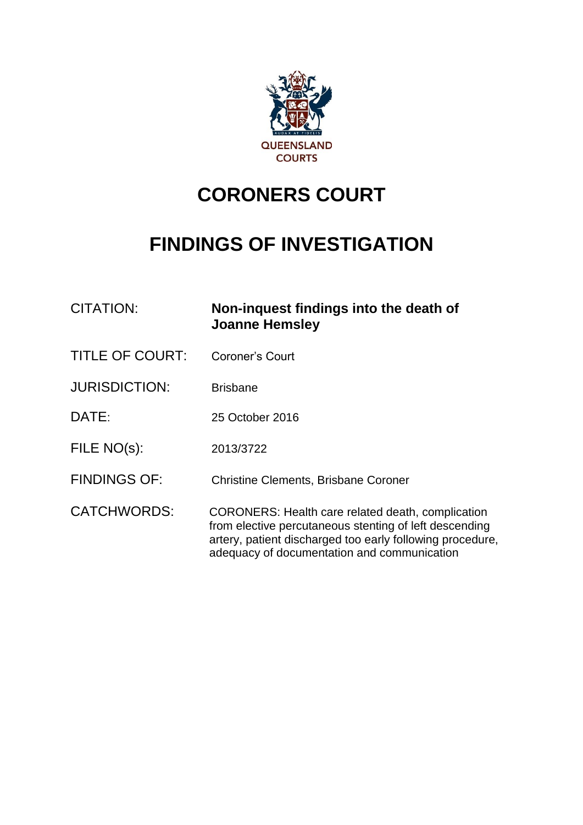

# **CORONERS COURT**

# **FINDINGS OF INVESTIGATION**

| CITATION:              | Non-inquest findings into the death of<br><b>Joanne Hemsley</b>                                                                                                                                                                |
|------------------------|--------------------------------------------------------------------------------------------------------------------------------------------------------------------------------------------------------------------------------|
| <b>TITLE OF COURT:</b> | Coroner's Court                                                                                                                                                                                                                |
| <b>JURISDICTION:</b>   | <b>Brisbane</b>                                                                                                                                                                                                                |
| DATE:                  | 25 October 2016                                                                                                                                                                                                                |
| FILE NO(s):            | 2013/3722                                                                                                                                                                                                                      |
| <b>FINDINGS OF:</b>    | <b>Christine Clements, Brisbane Coroner</b>                                                                                                                                                                                    |
| <b>CATCHWORDS:</b>     | <b>CORONERS: Health care related death, complication</b><br>from elective percutaneous stenting of left descending<br>artery, patient discharged too early following procedure,<br>adequacy of documentation and communication |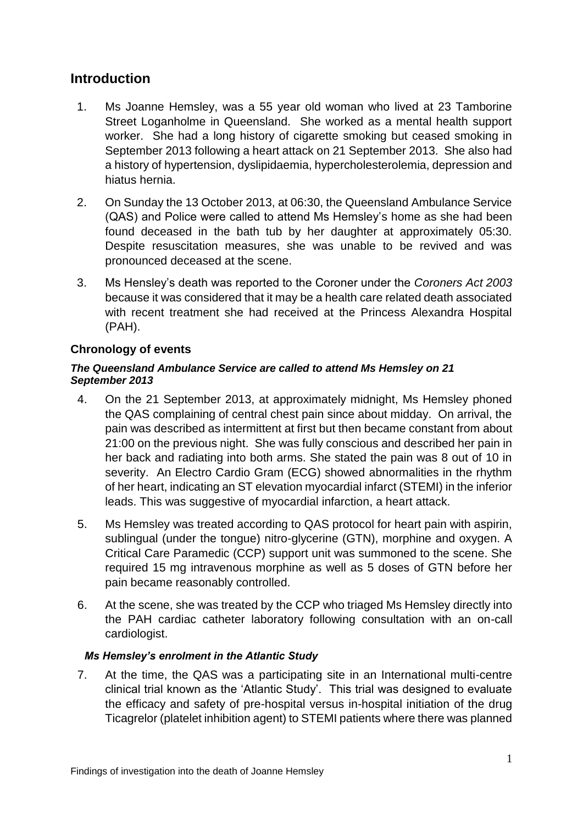## **Introduction**

- 1. Ms Joanne Hemsley, was a 55 year old woman who lived at 23 Tamborine Street Loganholme in Queensland. She worked as a mental health support worker. She had a long history of cigarette smoking but ceased smoking in September 2013 following a heart attack on 21 September 2013. She also had a history of hypertension, dyslipidaemia, hypercholesterolemia, depression and hiatus hernia.
- 2. On Sunday the 13 October 2013, at 06:30, the Queensland Ambulance Service (QAS) and Police were called to attend Ms Hemsley's home as she had been found deceased in the bath tub by her daughter at approximately 05:30. Despite resuscitation measures, she was unable to be revived and was pronounced deceased at the scene.
- 3. Ms Hensley's death was reported to the Coroner under the *Coroners Act 2003* because it was considered that it may be a health care related death associated with recent treatment she had received at the Princess Alexandra Hospital (PAH).

## **Chronology of events**

#### *The Queensland Ambulance Service are called to attend Ms Hemsley on 21 September 2013*

- 4. On the 21 September 2013, at approximately midnight, Ms Hemsley phoned the QAS complaining of central chest pain since about midday. On arrival, the pain was described as intermittent at first but then became constant from about 21:00 on the previous night. She was fully conscious and described her pain in her back and radiating into both arms. She stated the pain was 8 out of 10 in severity. An Electro Cardio Gram (ECG) showed abnormalities in the rhythm of her heart, indicating an ST elevation myocardial infarct (STEMI) in the inferior leads. This was suggestive of myocardial infarction, a heart attack.
- 5. Ms Hemsley was treated according to QAS protocol for heart pain with aspirin, sublingual (under the tongue) nitro-glycerine (GTN), morphine and oxygen. A Critical Care Paramedic (CCP) support unit was summoned to the scene. She required 15 mg intravenous morphine as well as 5 doses of GTN before her pain became reasonably controlled.
- 6. At the scene, she was treated by the CCP who triaged Ms Hemsley directly into the PAH cardiac catheter laboratory following consultation with an on-call cardiologist.

#### *Ms Hemsley's enrolment in the Atlantic Study*

7. At the time, the QAS was a participating site in an International multi-centre clinical trial known as the 'Atlantic Study'. This trial was designed to evaluate the efficacy and safety of pre-hospital versus in-hospital initiation of the drug Ticagrelor (platelet inhibition agent) to STEMI patients where there was planned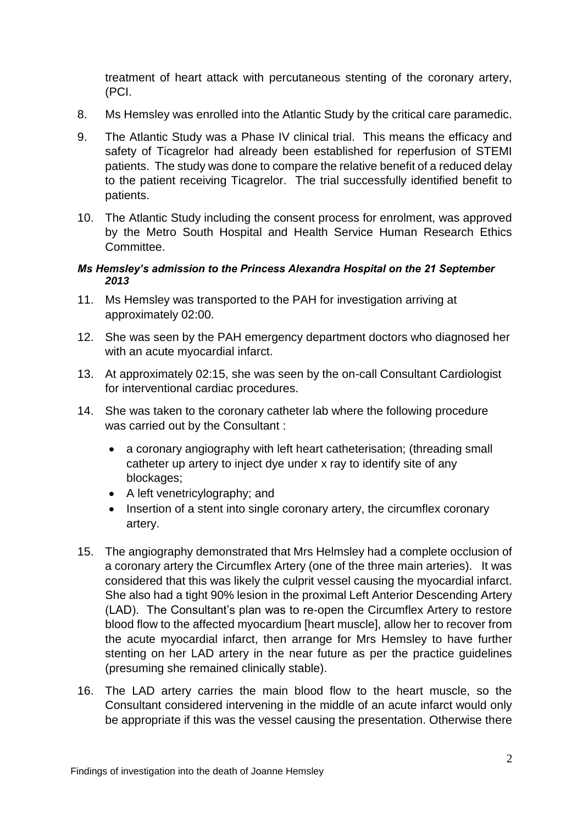treatment of heart attack with percutaneous stenting of the coronary artery, (PCI.

- 8. Ms Hemsley was enrolled into the Atlantic Study by the critical care paramedic.
- 9. The Atlantic Study was a Phase IV clinical trial. This means the efficacy and safety of Ticagrelor had already been established for reperfusion of STEMI patients. The study was done to compare the relative benefit of a reduced delay to the patient receiving Ticagrelor. The trial successfully identified benefit to patients.
- 10. The Atlantic Study including the consent process for enrolment, was approved by the Metro South Hospital and Health Service Human Research Ethics Committee.

#### *Ms Hemsley's admission to the Princess Alexandra Hospital on the 21 September 2013*

- 11. Ms Hemsley was transported to the PAH for investigation arriving at approximately 02:00.
- 12. She was seen by the PAH emergency department doctors who diagnosed her with an acute myocardial infarct.
- 13. At approximately 02:15, she was seen by the on-call Consultant Cardiologist for interventional cardiac procedures.
- 14. She was taken to the coronary catheter lab where the following procedure was carried out by the Consultant :
	- a coronary angiography with left heart catheterisation; (threading small catheter up artery to inject dye under x ray to identify site of any blockages;
	- A left venetricylography; and
	- Insertion of a stent into single coronary artery, the circumflex coronary artery.
- 15. The angiography demonstrated that Mrs Helmsley had a complete occlusion of a coronary artery the Circumflex Artery (one of the three main arteries). It was considered that this was likely the culprit vessel causing the myocardial infarct. She also had a tight 90% lesion in the proximal Left Anterior Descending Artery (LAD). The Consultant's plan was to re-open the Circumflex Artery to restore blood flow to the affected myocardium [heart muscle], allow her to recover from the acute myocardial infarct, then arrange for Mrs Hemsley to have further stenting on her LAD artery in the near future as per the practice guidelines (presuming she remained clinically stable).
- 16. The LAD artery carries the main blood flow to the heart muscle, so the Consultant considered intervening in the middle of an acute infarct would only be appropriate if this was the vessel causing the presentation. Otherwise there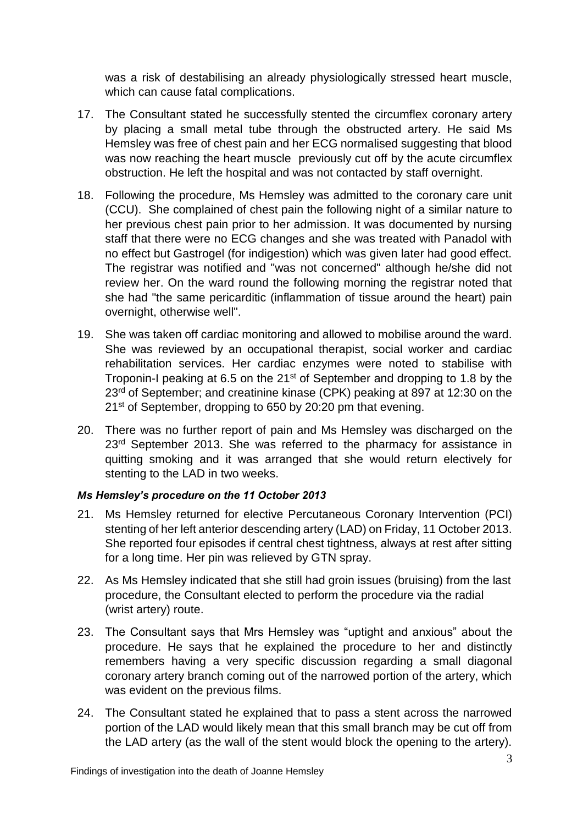was a risk of destabilising an already physiologically stressed heart muscle, which can cause fatal complications.

- 17. The Consultant stated he successfully stented the circumflex coronary artery by placing a small metal tube through the obstructed artery. He said Ms Hemsley was free of chest pain and her ECG normalised suggesting that blood was now reaching the heart muscle previously cut off by the acute circumflex obstruction. He left the hospital and was not contacted by staff overnight.
- 18. Following the procedure, Ms Hemsley was admitted to the coronary care unit (CCU). She complained of chest pain the following night of a similar nature to her previous chest pain prior to her admission. It was documented by nursing staff that there were no ECG changes and she was treated with Panadol with no effect but Gastrogel (for indigestion) which was given later had good effect. The registrar was notified and "was not concerned" although he/she did not review her. On the ward round the following morning the registrar noted that she had "the same pericarditic (inflammation of tissue around the heart) pain overnight, otherwise well".
- 19. She was taken off cardiac monitoring and allowed to mobilise around the ward. She was reviewed by an occupational therapist, social worker and cardiac rehabilitation services. Her cardiac enzymes were noted to stabilise with Troponin-I peaking at 6.5 on the 21<sup>st</sup> of September and dropping to 1.8 by the 23<sup>rd</sup> of September; and creatinine kinase (CPK) peaking at 897 at 12:30 on the 21<sup>st</sup> of September, dropping to 650 by 20:20 pm that evening.
- 20. There was no further report of pain and Ms Hemsley was discharged on the 23<sup>rd</sup> September 2013. She was referred to the pharmacy for assistance in quitting smoking and it was arranged that she would return electively for stenting to the LAD in two weeks.

#### *Ms Hemsley's procedure on the 11 October 2013*

- 21. Ms Hemsley returned for elective Percutaneous Coronary Intervention (PCI) stenting of her left anterior descending artery (LAD) on Friday, 11 October 2013. She reported four episodes if central chest tightness, always at rest after sitting for a long time. Her pin was relieved by GTN spray.
- 22. As Ms Hemsley indicated that she still had groin issues (bruising) from the last procedure, the Consultant elected to perform the procedure via the radial (wrist artery) route.
- 23. The Consultant says that Mrs Hemsley was "uptight and anxious" about the procedure. He says that he explained the procedure to her and distinctly remembers having a very specific discussion regarding a small diagonal coronary artery branch coming out of the narrowed portion of the artery, which was evident on the previous films.
- 24. The Consultant stated he explained that to pass a stent across the narrowed portion of the LAD would likely mean that this small branch may be cut off from the LAD artery (as the wall of the stent would block the opening to the artery).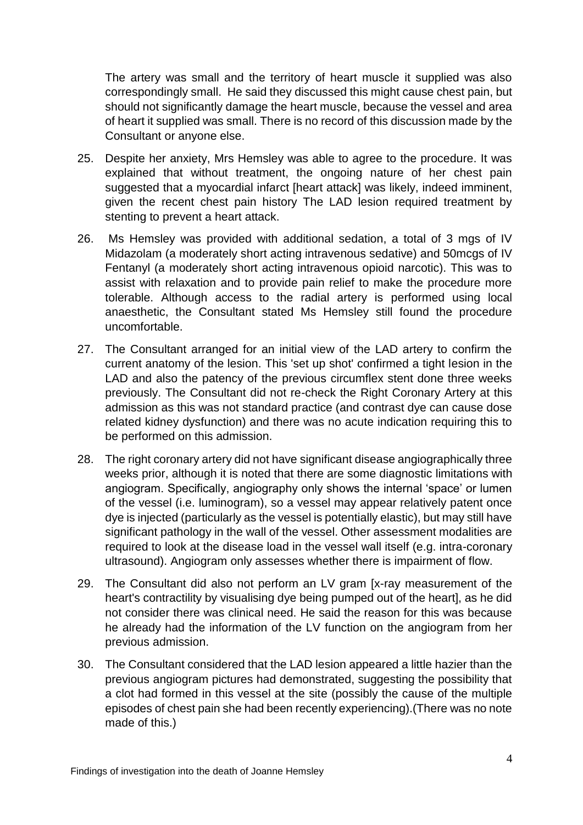The artery was small and the territory of heart muscle it supplied was also correspondingly small. He said they discussed this might cause chest pain, but should not significantly damage the heart muscle, because the vessel and area of heart it supplied was small. There is no record of this discussion made by the Consultant or anyone else.

- 25. Despite her anxiety, Mrs Hemsley was able to agree to the procedure. It was explained that without treatment, the ongoing nature of her chest pain suggested that a myocardial infarct [heart attack] was likely, indeed imminent, given the recent chest pain history The LAD lesion required treatment by stenting to prevent a heart attack.
- 26. Ms Hemsley was provided with additional sedation, a total of 3 mgs of IV Midazolam (a moderately short acting intravenous sedative) and 50mcgs of IV Fentanyl (a moderately short acting intravenous opioid narcotic). This was to assist with relaxation and to provide pain relief to make the procedure more tolerable. Although access to the radial artery is performed using local anaesthetic, the Consultant stated Ms Hemsley still found the procedure uncomfortable.
- 27. The Consultant arranged for an initial view of the LAD artery to confirm the current anatomy of the lesion. This 'set up shot' confirmed a tight lesion in the LAD and also the patency of the previous circumflex stent done three weeks previously. The Consultant did not re-check the Right Coronary Artery at this admission as this was not standard practice (and contrast dye can cause dose related kidney dysfunction) and there was no acute indication requiring this to be performed on this admission.
- 28. The right coronary artery did not have significant disease angiographically three weeks prior, although it is noted that there are some diagnostic limitations with angiogram. Specifically, angiography only shows the internal 'space' or lumen of the vessel (i.e. luminogram), so a vessel may appear relatively patent once dye is injected (particularly as the vessel is potentially elastic), but may still have significant pathology in the wall of the vessel. Other assessment modalities are required to look at the disease load in the vessel wall itself (e.g. intra-coronary ultrasound). Angiogram only assesses whether there is impairment of flow.
- 29. The Consultant did also not perform an LV gram [x-ray measurement of the heart's contractility by visualising dye being pumped out of the heart], as he did not consider there was clinical need. He said the reason for this was because he already had the information of the LV function on the angiogram from her previous admission.
- 30. The Consultant considered that the LAD lesion appeared a little hazier than the previous angiogram pictures had demonstrated, suggesting the possibility that a clot had formed in this vessel at the site (possibly the cause of the multiple episodes of chest pain she had been recently experiencing).(There was no note made of this.)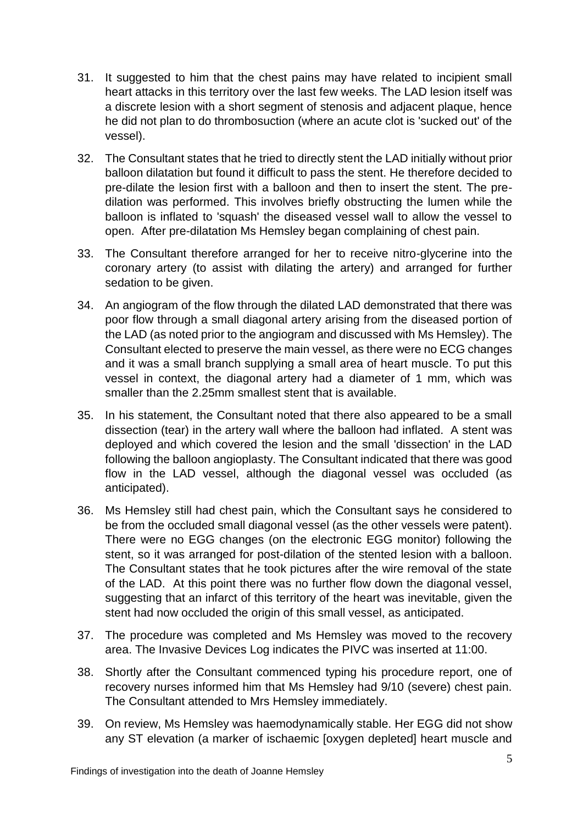- 31. It suggested to him that the chest pains may have related to incipient small heart attacks in this territory over the last few weeks. The LAD lesion itself was a discrete lesion with a short segment of stenosis and adjacent plaque, hence he did not plan to do thrombosuction (where an acute clot is 'sucked out' of the vessel).
- 32. The Consultant states that he tried to directly stent the LAD initially without prior balloon dilatation but found it difficult to pass the stent. He therefore decided to pre-dilate the lesion first with a balloon and then to insert the stent. The predilation was performed. This involves briefly obstructing the lumen while the balloon is inflated to 'squash' the diseased vessel wall to allow the vessel to open. After pre-dilatation Ms Hemsley began complaining of chest pain.
- 33. The Consultant therefore arranged for her to receive nitro-glycerine into the coronary artery (to assist with dilating the artery) and arranged for further sedation to be given.
- 34. An angiogram of the flow through the dilated LAD demonstrated that there was poor flow through a small diagonal artery arising from the diseased portion of the LAD (as noted prior to the angiogram and discussed with Ms Hemsley). The Consultant elected to preserve the main vessel, as there were no ECG changes and it was a small branch supplying a small area of heart muscle. To put this vessel in context, the diagonal artery had a diameter of 1 mm, which was smaller than the 2.25mm smallest stent that is available.
- 35. In his statement, the Consultant noted that there also appeared to be a small dissection (tear) in the artery wall where the balloon had inflated. A stent was deployed and which covered the lesion and the small 'dissection' in the LAD following the balloon angioplasty. The Consultant indicated that there was good flow in the LAD vessel, although the diagonal vessel was occluded (as anticipated).
- 36. Ms Hemsley still had chest pain, which the Consultant says he considered to be from the occluded small diagonal vessel (as the other vessels were patent). There were no EGG changes (on the electronic EGG monitor) following the stent, so it was arranged for post-dilation of the stented lesion with a balloon. The Consultant states that he took pictures after the wire removal of the state of the LAD. At this point there was no further flow down the diagonal vessel, suggesting that an infarct of this territory of the heart was inevitable, given the stent had now occluded the origin of this small vessel, as anticipated.
- 37. The procedure was completed and Ms Hemsley was moved to the recovery area. The Invasive Devices Log indicates the PIVC was inserted at 11:00.
- 38. Shortly after the Consultant commenced typing his procedure report, one of recovery nurses informed him that Ms Hemsley had 9/10 (severe) chest pain. The Consultant attended to Mrs Hemsley immediately.
- 39. On review, Ms Hemsley was haemodynamically stable. Her EGG did not show any ST elevation (a marker of ischaemic [oxygen depleted] heart muscle and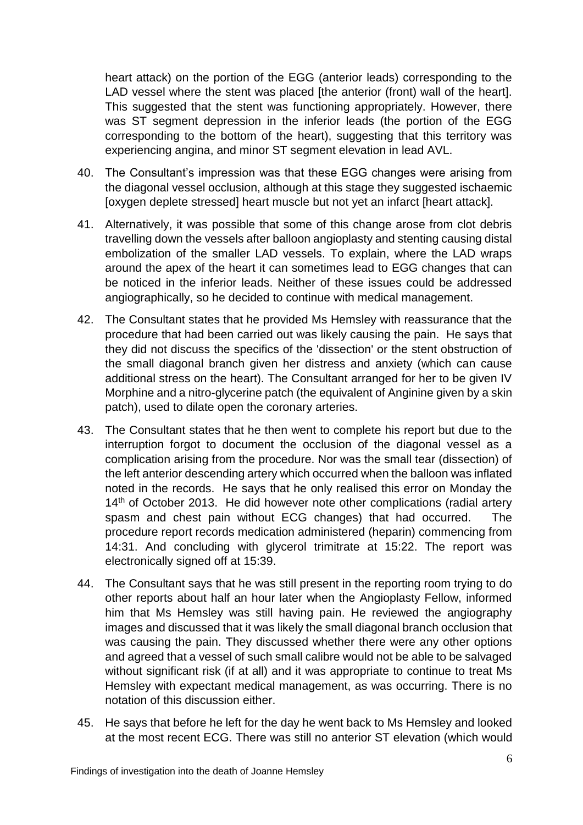heart attack) on the portion of the EGG (anterior leads) corresponding to the LAD vessel where the stent was placed [the anterior (front) wall of the heart]. This suggested that the stent was functioning appropriately. However, there was ST segment depression in the inferior leads (the portion of the EGG corresponding to the bottom of the heart), suggesting that this territory was experiencing angina, and minor ST segment elevation in lead AVL.

- 40. The Consultant's impression was that these EGG changes were arising from the diagonal vessel occlusion, although at this stage they suggested ischaemic [oxygen deplete stressed] heart muscle but not yet an infarct [heart attack].
- 41. Alternatively, it was possible that some of this change arose from clot debris travelling down the vessels after balloon angioplasty and stenting causing distal embolization of the smaller LAD vessels. To explain, where the LAD wraps around the apex of the heart it can sometimes lead to EGG changes that can be noticed in the inferior leads. Neither of these issues could be addressed angiographically, so he decided to continue with medical management.
- 42. The Consultant states that he provided Ms Hemsley with reassurance that the procedure that had been carried out was likely causing the pain. He says that they did not discuss the specifics of the 'dissection' or the stent obstruction of the small diagonal branch given her distress and anxiety (which can cause additional stress on the heart). The Consultant arranged for her to be given IV Morphine and a nitro-glycerine patch (the equivalent of Anginine given by a skin patch), used to dilate open the coronary arteries.
- 43. The Consultant states that he then went to complete his report but due to the interruption forgot to document the occlusion of the diagonal vessel as a complication arising from the procedure. Nor was the small tear (dissection) of the left anterior descending artery which occurred when the balloon was inflated noted in the records. He says that he only realised this error on Monday the 14<sup>th</sup> of October 2013. He did however note other complications (radial artery spasm and chest pain without ECG changes) that had occurred. The procedure report records medication administered (heparin) commencing from 14:31. And concluding with glycerol trimitrate at 15:22. The report was electronically signed off at 15:39.
- 44. The Consultant says that he was still present in the reporting room trying to do other reports about half an hour later when the Angioplasty Fellow, informed him that Ms Hemsley was still having pain. He reviewed the angiography images and discussed that it was likely the small diagonal branch occlusion that was causing the pain. They discussed whether there were any other options and agreed that a vessel of such small calibre would not be able to be salvaged without significant risk (if at all) and it was appropriate to continue to treat Ms Hemsley with expectant medical management, as was occurring. There is no notation of this discussion either.
- 45. He says that before he left for the day he went back to Ms Hemsley and looked at the most recent ECG. There was still no anterior ST elevation (which would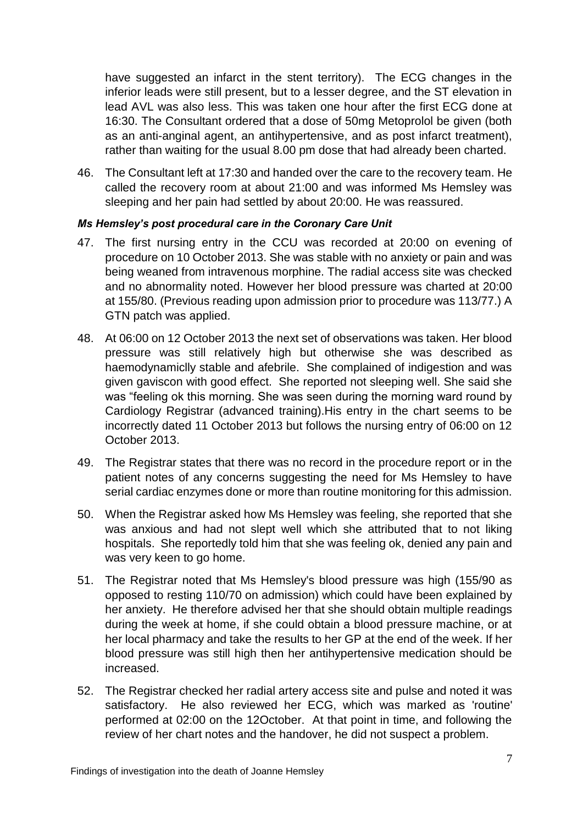have suggested an infarct in the stent territory). The ECG changes in the inferior leads were still present, but to a lesser degree, and the ST elevation in lead AVL was also less. This was taken one hour after the first ECG done at 16:30. The Consultant ordered that a dose of 50mg Metoprolol be given (both as an anti-anginal agent, an antihypertensive, and as post infarct treatment), rather than waiting for the usual 8.00 pm dose that had already been charted.

46. The Consultant left at 17:30 and handed over the care to the recovery team. He called the recovery room at about 21:00 and was informed Ms Hemsley was sleeping and her pain had settled by about 20:00. He was reassured.

#### *Ms Hemsley's post procedural care in the Coronary Care Unit*

- 47. The first nursing entry in the CCU was recorded at 20:00 on evening of procedure on 10 October 2013. She was stable with no anxiety or pain and was being weaned from intravenous morphine. The radial access site was checked and no abnormality noted. However her blood pressure was charted at 20:00 at 155/80. (Previous reading upon admission prior to procedure was 113/77.) A GTN patch was applied.
- 48. At 06:00 on 12 October 2013 the next set of observations was taken. Her blood pressure was still relatively high but otherwise she was described as haemodynamiclly stable and afebrile. She complained of indigestion and was given gaviscon with good effect. She reported not sleeping well. She said she was "feeling ok this morning. She was seen during the morning ward round by Cardiology Registrar (advanced training).His entry in the chart seems to be incorrectly dated 11 October 2013 but follows the nursing entry of 06:00 on 12 October 2013.
- 49. The Registrar states that there was no record in the procedure report or in the patient notes of any concerns suggesting the need for Ms Hemsley to have serial cardiac enzymes done or more than routine monitoring for this admission.
- 50. When the Registrar asked how Ms Hemsley was feeling, she reported that she was anxious and had not slept well which she attributed that to not liking hospitals. She reportedly told him that she was feeling ok, denied any pain and was very keen to go home.
- 51. The Registrar noted that Ms Hemsley's blood pressure was high (155/90 as opposed to resting 110/70 on admission) which could have been explained by her anxiety. He therefore advised her that she should obtain multiple readings during the week at home, if she could obtain a blood pressure machine, or at her local pharmacy and take the results to her GP at the end of the week. If her blood pressure was still high then her antihypertensive medication should be increased.
- 52. The Registrar checked her radial artery access site and pulse and noted it was satisfactory. He also reviewed her ECG, which was marked as 'routine' performed at 02:00 on the 12October. At that point in time, and following the review of her chart notes and the handover, he did not suspect a problem.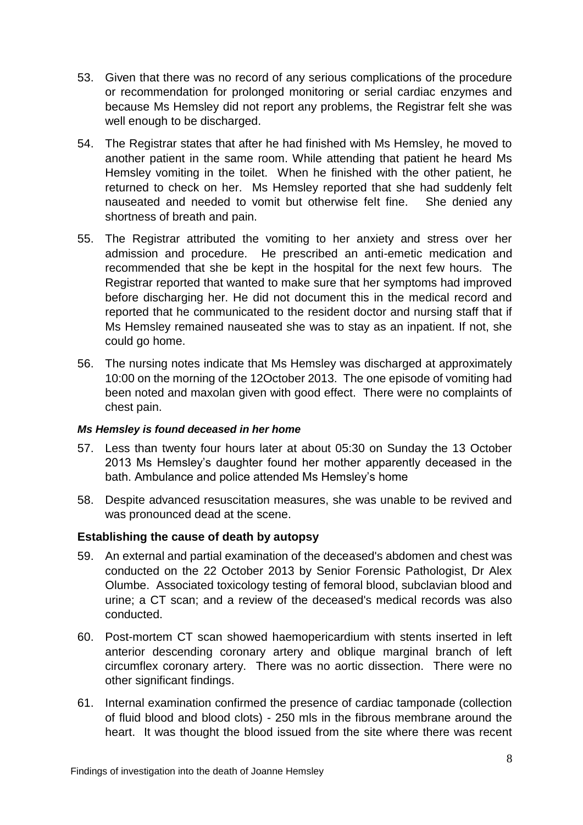- 53. Given that there was no record of any serious complications of the procedure or recommendation for prolonged monitoring or serial cardiac enzymes and because Ms Hemsley did not report any problems, the Registrar felt she was well enough to be discharged.
- 54. The Registrar states that after he had finished with Ms Hemsley, he moved to another patient in the same room. While attending that patient he heard Ms Hemsley vomiting in the toilet. When he finished with the other patient, he returned to check on her. Ms Hemsley reported that she had suddenly felt nauseated and needed to vomit but otherwise felt fine. She denied any shortness of breath and pain.
- 55. The Registrar attributed the vomiting to her anxiety and stress over her admission and procedure. He prescribed an anti-emetic medication and recommended that she be kept in the hospital for the next few hours. The Registrar reported that wanted to make sure that her symptoms had improved before discharging her. He did not document this in the medical record and reported that he communicated to the resident doctor and nursing staff that if Ms Hemsley remained nauseated she was to stay as an inpatient. If not, she could go home.
- 56. The nursing notes indicate that Ms Hemsley was discharged at approximately 10:00 on the morning of the 12October 2013. The one episode of vomiting had been noted and maxolan given with good effect. There were no complaints of chest pain.

#### *Ms Hemsley is found deceased in her home*

- 57. Less than twenty four hours later at about 05:30 on Sunday the 13 October 2013 Ms Hemsley's daughter found her mother apparently deceased in the bath. Ambulance and police attended Ms Hemsley's home
- 58. Despite advanced resuscitation measures, she was unable to be revived and was pronounced dead at the scene.

## **Establishing the cause of death by autopsy**

- 59. An external and partial examination of the deceased's abdomen and chest was conducted on the 22 October 2013 by Senior Forensic Pathologist, Dr Alex Olumbe. Associated toxicology testing of femoral blood, subclavian blood and urine; a CT scan; and a review of the deceased's medical records was also conducted.
- 60. Post-mortem CT scan showed haemopericardium with stents inserted in left anterior descending coronary artery and oblique marginal branch of left circumflex coronary artery. There was no aortic dissection. There were no other significant findings.
- 61. Internal examination confirmed the presence of cardiac tamponade (collection of fluid blood and blood clots) - 250 mls in the fibrous membrane around the heart. It was thought the blood issued from the site where there was recent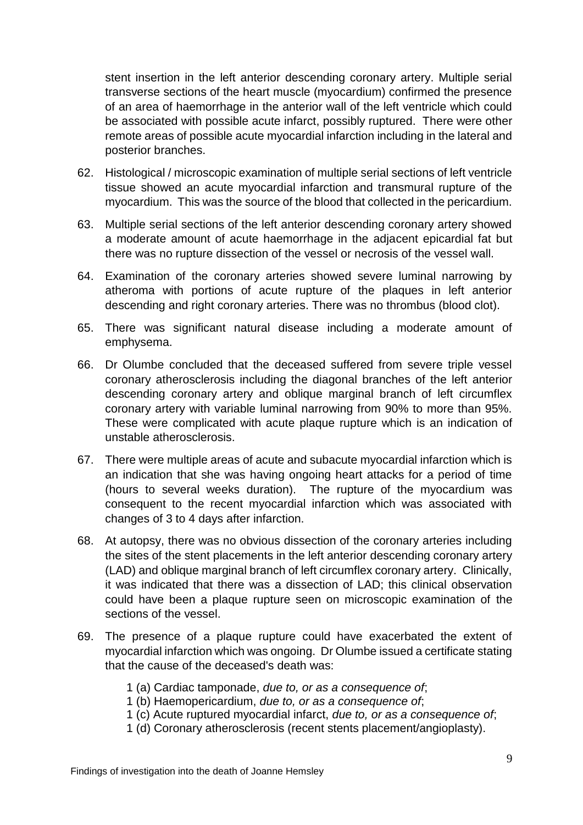stent insertion in the left anterior descending coronary artery. Multiple serial transverse sections of the heart muscle (myocardium) confirmed the presence of an area of haemorrhage in the anterior wall of the left ventricle which could be associated with possible acute infarct, possibly ruptured. There were other remote areas of possible acute myocardial infarction including in the lateral and posterior branches.

- 62. Histological / microscopic examination of multiple serial sections of left ventricle tissue showed an acute myocardial infarction and transmural rupture of the myocardium. This was the source of the blood that collected in the pericardium.
- 63. Multiple serial sections of the left anterior descending coronary artery showed a moderate amount of acute haemorrhage in the adjacent epicardial fat but there was no rupture dissection of the vessel or necrosis of the vessel wall.
- 64. Examination of the coronary arteries showed severe luminal narrowing by atheroma with portions of acute rupture of the plaques in left anterior descending and right coronary arteries. There was no thrombus (blood clot).
- 65. There was significant natural disease including a moderate amount of emphysema.
- 66. Dr Olumbe concluded that the deceased suffered from severe triple vessel coronary atherosclerosis including the diagonal branches of the left anterior descending coronary artery and oblique marginal branch of left circumflex coronary artery with variable luminal narrowing from 90% to more than 95%. These were complicated with acute plaque rupture which is an indication of unstable atherosclerosis.
- 67. There were multiple areas of acute and subacute myocardial infarction which is an indication that she was having ongoing heart attacks for a period of time (hours to several weeks duration). The rupture of the myocardium was consequent to the recent myocardial infarction which was associated with changes of 3 to 4 days after infarction.
- 68. At autopsy, there was no obvious dissection of the coronary arteries including the sites of the stent placements in the left anterior descending coronary artery (LAD) and oblique marginal branch of left circumflex coronary artery. Clinically, it was indicated that there was a dissection of LAD; this clinical observation could have been a plaque rupture seen on microscopic examination of the sections of the vessel.
- 69. The presence of a plaque rupture could have exacerbated the extent of myocardial infarction which was ongoing. Dr Olumbe issued a certificate stating that the cause of the deceased's death was:
	- 1 (a) Cardiac tamponade, *due to, or as a consequence of*;
	- 1 (b) Haemopericardium, *due to, or as a consequence of*;
	- 1 (c) Acute ruptured myocardial infarct, *due to, or as a consequence of*;
	- 1 (d) Coronary atherosclerosis (recent stents placement/angioplasty).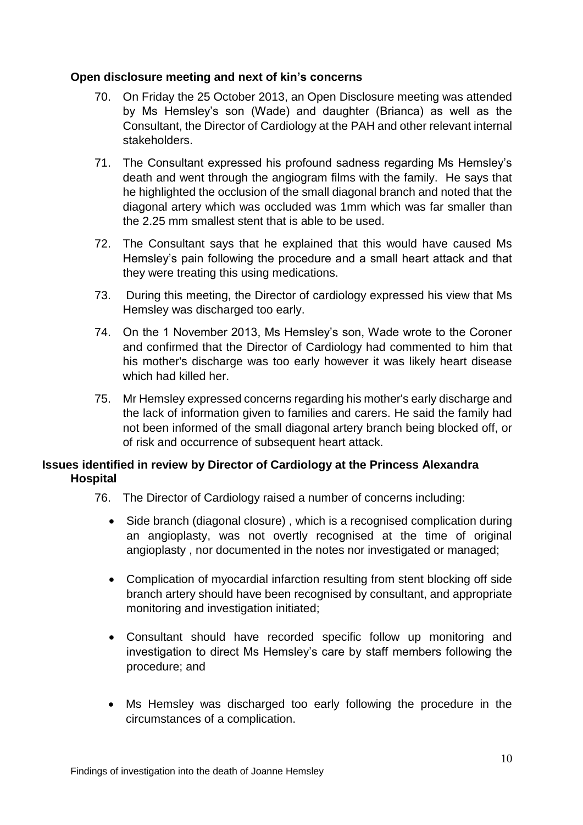## **Open disclosure meeting and next of kin's concerns**

- 70. On Friday the 25 October 2013, an Open Disclosure meeting was attended by Ms Hemsley's son (Wade) and daughter (Brianca) as well as the Consultant, the Director of Cardiology at the PAH and other relevant internal stakeholders.
- 71. The Consultant expressed his profound sadness regarding Ms Hemsley's death and went through the angiogram films with the family. He says that he highlighted the occlusion of the small diagonal branch and noted that the diagonal artery which was occluded was 1mm which was far smaller than the 2.25 mm smallest stent that is able to be used.
- 72. The Consultant says that he explained that this would have caused Ms Hemsley's pain following the procedure and a small heart attack and that they were treating this using medications.
- 73. During this meeting, the Director of cardiology expressed his view that Ms Hemsley was discharged too early.
- 74. On the 1 November 2013, Ms Hemsley's son, Wade wrote to the Coroner and confirmed that the Director of Cardiology had commented to him that his mother's discharge was too early however it was likely heart disease which had killed her.
- 75. Mr Hemsley expressed concerns regarding his mother's early discharge and the lack of information given to families and carers. He said the family had not been informed of the small diagonal artery branch being blocked off, or of risk and occurrence of subsequent heart attack.

## **Issues identified in review by Director of Cardiology at the Princess Alexandra Hospital**

- 76. The Director of Cardiology raised a number of concerns including:
	- Side branch (diagonal closure), which is a recognised complication during an angioplasty, was not overtly recognised at the time of original angioplasty , nor documented in the notes nor investigated or managed;
	- Complication of myocardial infarction resulting from stent blocking off side branch artery should have been recognised by consultant, and appropriate monitoring and investigation initiated;
	- Consultant should have recorded specific follow up monitoring and investigation to direct Ms Hemsley's care by staff members following the procedure; and
	- Ms Hemsley was discharged too early following the procedure in the circumstances of a complication.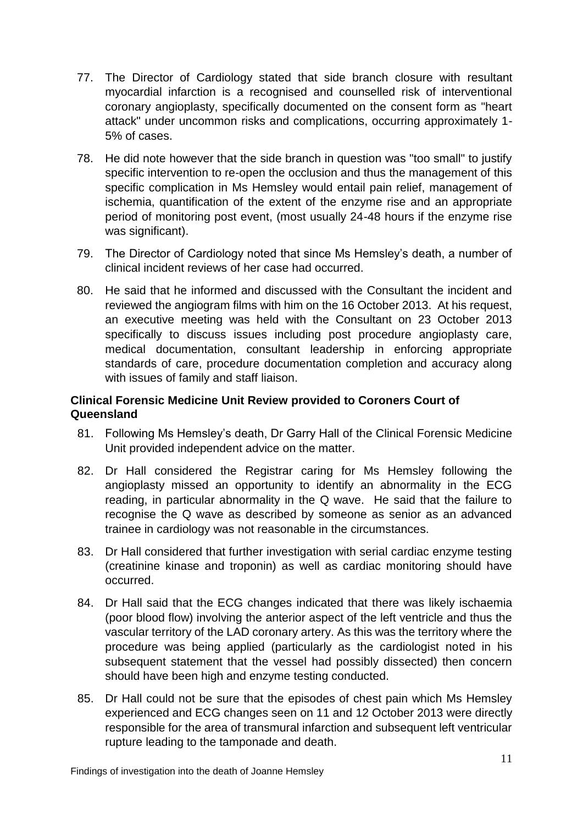- 77. The Director of Cardiology stated that side branch closure with resultant myocardial infarction is a recognised and counselled risk of interventional coronary angioplasty, specifically documented on the consent form as "heart attack" under uncommon risks and complications, occurring approximately 1- 5% of cases.
- 78. He did note however that the side branch in question was "too small" to justify specific intervention to re-open the occlusion and thus the management of this specific complication in Ms Hemsley would entail pain relief, management of ischemia, quantification of the extent of the enzyme rise and an appropriate period of monitoring post event, (most usually 24-48 hours if the enzyme rise was significant).
- 79. The Director of Cardiology noted that since Ms Hemsley's death, a number of clinical incident reviews of her case had occurred.
- 80. He said that he informed and discussed with the Consultant the incident and reviewed the angiogram films with him on the 16 October 2013. At his request, an executive meeting was held with the Consultant on 23 October 2013 specifically to discuss issues including post procedure angioplasty care, medical documentation, consultant leadership in enforcing appropriate standards of care, procedure documentation completion and accuracy along with issues of family and staff liaison.

## **Clinical Forensic Medicine Unit Review provided to Coroners Court of Queensland**

- 81. Following Ms Hemsley's death, Dr Garry Hall of the Clinical Forensic Medicine Unit provided independent advice on the matter.
- 82. Dr Hall considered the Registrar caring for Ms Hemsley following the angioplasty missed an opportunity to identify an abnormality in the ECG reading, in particular abnormality in the Q wave. He said that the failure to recognise the Q wave as described by someone as senior as an advanced trainee in cardiology was not reasonable in the circumstances.
- 83. Dr Hall considered that further investigation with serial cardiac enzyme testing (creatinine kinase and troponin) as well as cardiac monitoring should have occurred.
- 84. Dr Hall said that the ECG changes indicated that there was likely ischaemia (poor blood flow) involving the anterior aspect of the left ventricle and thus the vascular territory of the LAD coronary artery. As this was the territory where the procedure was being applied (particularly as the cardiologist noted in his subsequent statement that the vessel had possibly dissected) then concern should have been high and enzyme testing conducted.
- 85. Dr Hall could not be sure that the episodes of chest pain which Ms Hemsley experienced and ECG changes seen on 11 and 12 October 2013 were directly responsible for the area of transmural infarction and subsequent left ventricular rupture leading to the tamponade and death.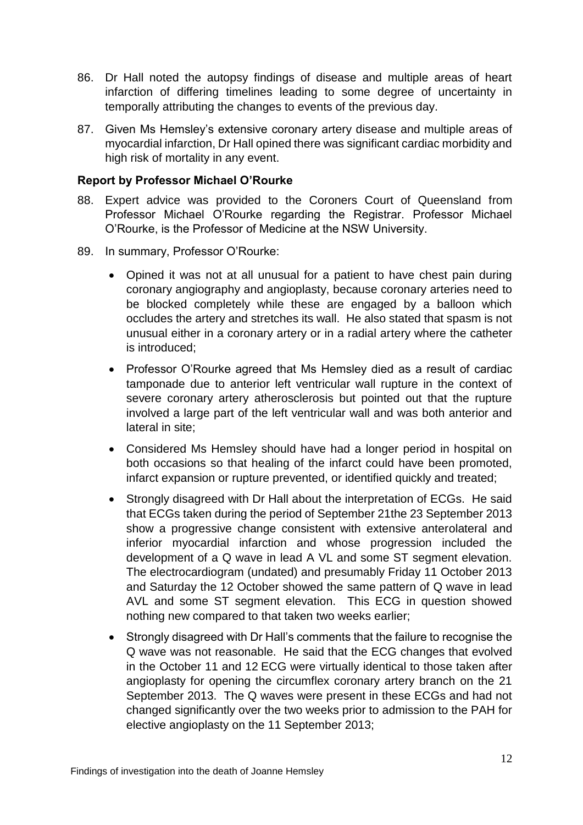- 86. Dr Hall noted the autopsy findings of disease and multiple areas of heart infarction of differing timelines leading to some degree of uncertainty in temporally attributing the changes to events of the previous day.
- 87. Given Ms Hemsley's extensive coronary artery disease and multiple areas of myocardial infarction, Dr Hall opined there was significant cardiac morbidity and high risk of mortality in any event.

### **Report by Professor Michael O'Rourke**

- 88. Expert advice was provided to the Coroners Court of Queensland from Professor Michael O'Rourke regarding the Registrar. Professor Michael O'Rourke, is the Professor of Medicine at the NSW University.
- 89. In summary, Professor O'Rourke:
	- Opined it was not at all unusual for a patient to have chest pain during coronary angiography and angioplasty, because coronary arteries need to be blocked completely while these are engaged by a balloon which occludes the artery and stretches its wall. He also stated that spasm is not unusual either in a coronary artery or in a radial artery where the catheter is introduced;
	- Professor O'Rourke agreed that Ms Hemsley died as a result of cardiac tamponade due to anterior left ventricular wall rupture in the context of severe coronary artery atherosclerosis but pointed out that the rupture involved a large part of the left ventricular wall and was both anterior and lateral in site;
	- Considered Ms Hemsley should have had a longer period in hospital on both occasions so that healing of the infarct could have been promoted, infarct expansion or rupture prevented, or identified quickly and treated;
	- Strongly disagreed with Dr Hall about the interpretation of ECGs. He said that ECGs taken during the period of September 21the 23 September 2013 show a progressive change consistent with extensive anterolateral and inferior myocardial infarction and whose progression included the development of a Q wave in lead A VL and some ST segment elevation. The electrocardiogram (undated) and presumably Friday 11 October 2013 and Saturday the 12 October showed the same pattern of Q wave in lead AVL and some ST segment elevation. This ECG in question showed nothing new compared to that taken two weeks earlier;
	- Strongly disagreed with Dr Hall's comments that the failure to recognise the Q wave was not reasonable. He said that the ECG changes that evolved in the October 11 and 12 ECG were virtually identical to those taken after angioplasty for opening the circumflex coronary artery branch on the 21 September 2013. The Q waves were present in these ECGs and had not changed significantly over the two weeks prior to admission to the PAH for elective angioplasty on the 11 September 2013;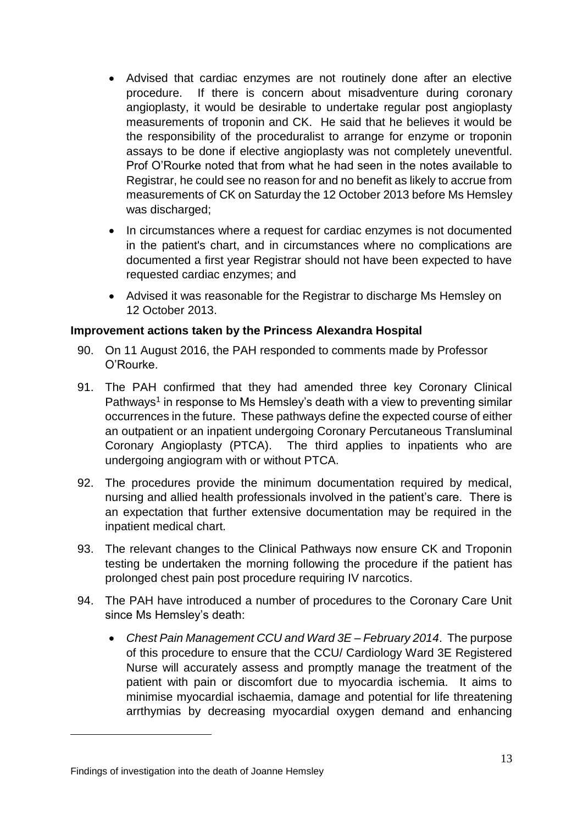- Advised that cardiac enzymes are not routinely done after an elective procedure. If there is concern about misadventure during coronary angioplasty, it would be desirable to undertake regular post angioplasty measurements of troponin and CK. He said that he believes it would be the responsibility of the proceduralist to arrange for enzyme or troponin assays to be done if elective angioplasty was not completely uneventful. Prof O'Rourke noted that from what he had seen in the notes available to Registrar, he could see no reason for and no benefit as likely to accrue from measurements of CK on Saturday the 12 October 2013 before Ms Hemsley was discharged;
- In circumstances where a request for cardiac enzymes is not documented in the patient's chart, and in circumstances where no complications are documented a first year Registrar should not have been expected to have requested cardiac enzymes; and
- Advised it was reasonable for the Registrar to discharge Ms Hemsley on 12 October 2013.

## **Improvement actions taken by the Princess Alexandra Hospital**

- 90. On 11 August 2016, the PAH responded to comments made by Professor O'Rourke.
- 91. The PAH confirmed that they had amended three key Coronary Clinical Pathways<sup>1</sup> in response to Ms Hemsley's death with a view to preventing similar occurrences in the future. These pathways define the expected course of either an outpatient or an inpatient undergoing Coronary Percutaneous Transluminal Coronary Angioplasty (PTCA). The third applies to inpatients who are undergoing angiogram with or without PTCA.
- 92. The procedures provide the minimum documentation required by medical, nursing and allied health professionals involved in the patient's care. There is an expectation that further extensive documentation may be required in the inpatient medical chart.
- 93. The relevant changes to the Clinical Pathways now ensure CK and Troponin testing be undertaken the morning following the procedure if the patient has prolonged chest pain post procedure requiring IV narcotics.
- 94. The PAH have introduced a number of procedures to the Coronary Care Unit since Ms Hemsley's death:
	- *Chest Pain Management CCU and Ward 3E – February 2014*. The purpose of this procedure to ensure that the CCU/ Cardiology Ward 3E Registered Nurse will accurately assess and promptly manage the treatment of the patient with pain or discomfort due to myocardia ischemia. It aims to minimise myocardial ischaemia, damage and potential for life threatening arrthymias by decreasing myocardial oxygen demand and enhancing

<u>.</u>

Findings of investigation into the death of Joanne Hemsley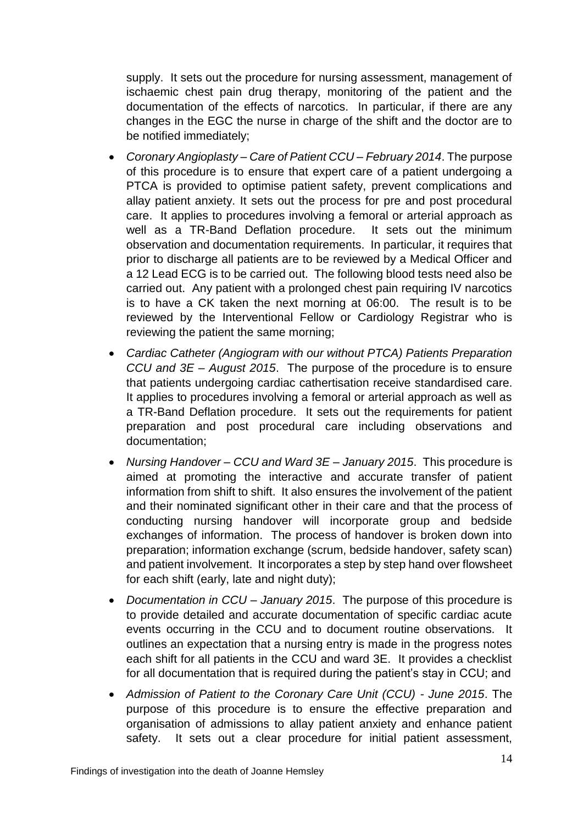supply. It sets out the procedure for nursing assessment, management of ischaemic chest pain drug therapy, monitoring of the patient and the documentation of the effects of narcotics. In particular, if there are any changes in the EGC the nurse in charge of the shift and the doctor are to be notified immediately;

- *Coronary Angioplasty – Care of Patient CCU – February 2014*. The purpose of this procedure is to ensure that expert care of a patient undergoing a PTCA is provided to optimise patient safety, prevent complications and allay patient anxiety. It sets out the process for pre and post procedural care. It applies to procedures involving a femoral or arterial approach as well as a TR-Band Deflation procedure. It sets out the minimum observation and documentation requirements. In particular, it requires that prior to discharge all patients are to be reviewed by a Medical Officer and a 12 Lead ECG is to be carried out. The following blood tests need also be carried out. Any patient with a prolonged chest pain requiring IV narcotics is to have a CK taken the next morning at 06:00. The result is to be reviewed by the Interventional Fellow or Cardiology Registrar who is reviewing the patient the same morning;
- *Cardiac Catheter (Angiogram with our without PTCA) Patients Preparation CCU and 3E – August 2015*. The purpose of the procedure is to ensure that patients undergoing cardiac cathertisation receive standardised care. It applies to procedures involving a femoral or arterial approach as well as a TR-Band Deflation procedure. It sets out the requirements for patient preparation and post procedural care including observations and documentation;
- *Nursing Handover – CCU and Ward 3E – January 2015*. This procedure is aimed at promoting the interactive and accurate transfer of patient information from shift to shift. It also ensures the involvement of the patient and their nominated significant other in their care and that the process of conducting nursing handover will incorporate group and bedside exchanges of information. The process of handover is broken down into preparation; information exchange (scrum, bedside handover, safety scan) and patient involvement. It incorporates a step by step hand over flowsheet for each shift (early, late and night duty);
- *Documentation in CCU – January 2015*. The purpose of this procedure is to provide detailed and accurate documentation of specific cardiac acute events occurring in the CCU and to document routine observations. It outlines an expectation that a nursing entry is made in the progress notes each shift for all patients in the CCU and ward 3E. It provides a checklist for all documentation that is required during the patient's stay in CCU; and
- *Admission of Patient to the Coronary Care Unit (CCU) - June 2015*. The purpose of this procedure is to ensure the effective preparation and organisation of admissions to allay patient anxiety and enhance patient safety. It sets out a clear procedure for initial patient assessment,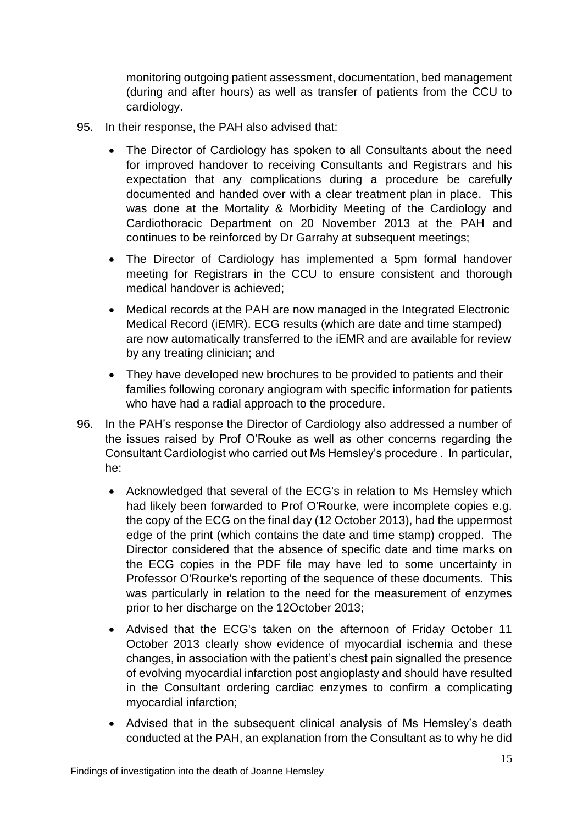monitoring outgoing patient assessment, documentation, bed management (during and after hours) as well as transfer of patients from the CCU to cardiology.

- 95. In their response, the PAH also advised that:
	- The Director of Cardiology has spoken to all Consultants about the need for improved handover to receiving Consultants and Registrars and his expectation that any complications during a procedure be carefully documented and handed over with a clear treatment plan in place. This was done at the Mortality & Morbidity Meeting of the Cardiology and Cardiothoracic Department on 20 November 2013 at the PAH and continues to be reinforced by Dr Garrahy at subsequent meetings;
	- The Director of Cardiology has implemented a 5pm formal handover meeting for Registrars in the CCU to ensure consistent and thorough medical handover is achieved;
	- Medical records at the PAH are now managed in the Integrated Electronic Medical Record (iEMR). ECG results (which are date and time stamped) are now automatically transferred to the iEMR and are available for review by any treating clinician; and
	- They have developed new brochures to be provided to patients and their families following coronary angiogram with specific information for patients who have had a radial approach to the procedure.
- 96. In the PAH's response the Director of Cardiology also addressed a number of the issues raised by Prof O'Rouke as well as other concerns regarding the Consultant Cardiologist who carried out Ms Hemsley's procedure . In particular, he:
	- Acknowledged that several of the ECG's in relation to Ms Hemsley which had likely been forwarded to Prof O'Rourke, were incomplete copies e.g. the copy of the ECG on the final day (12 October 2013), had the uppermost edge of the print (which contains the date and time stamp) cropped. The Director considered that the absence of specific date and time marks on the ECG copies in the PDF file may have led to some uncertainty in Professor O'Rourke's reporting of the sequence of these documents. This was particularly in relation to the need for the measurement of enzymes prior to her discharge on the 12October 2013;
	- Advised that the ECG's taken on the afternoon of Friday October 11 October 2013 clearly show evidence of myocardial ischemia and these changes, in association with the patient's chest pain signalled the presence of evolving myocardial infarction post angioplasty and should have resulted in the Consultant ordering cardiac enzymes to confirm a complicating myocardial infarction;
	- Advised that in the subsequent clinical analysis of Ms Hemsley's death conducted at the PAH, an explanation from the Consultant as to why he did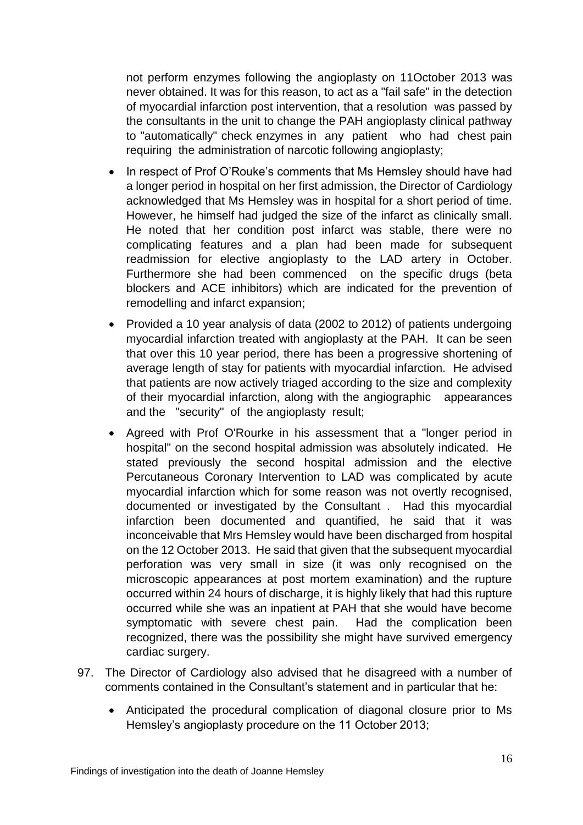not perform enzymes following the angioplasty on 11October 2013 was never obtained. It was for this reason, to act as a "fail safe" in the detection of myocardial infarction post intervention, that a resolution was passed by the consultants in the unit to change the PAH angioplasty clinical pathway to "automatically" check enzymes in any patient who had chest pain requiring the administration of narcotic following angioplasty;

- In respect of Prof O'Rouke's comments that Ms Hemsley should have had a longer period in hospital on her first admission, the Director of Cardiology acknowledged that Ms Hemsley was in hospital for a short period of time. However, he himself had judged the size of the infarct as clinically small. He noted that her condition post infarct was stable, there were no complicating features and a plan had been made for subsequent readmission for elective angioplasty to the LAD artery in October. Furthermore she had been commenced on the specific drugs (beta blockers and ACE inhibitors) which are indicated for the prevention of remodelling and infarct expansion;
- Provided a 10 year analysis of data (2002 to 2012) of patients undergoing myocardial infarction treated with angioplasty at the PAH. It can be seen that over this 10 year period, there has been a progressive shortening of average length of stay for patients with myocardial infarction. He advised that patients are now actively triaged according to the size and complexity of their myocardial infarction, along with the angiographic appearances and the "security" of the angioplasty result;
- Agreed with Prof O'Rourke in his assessment that a "longer period in hospital" on the second hospital admission was absolutely indicated. He stated previously the second hospital admission and the elective Percutaneous Coronary Intervention to LAD was complicated by acute myocardial infarction which for some reason was not overtly recognised, documented or investigated by the Consultant . Had this myocardial infarction been documented and quantified, he said that it was inconceivable that Mrs Hemsley would have been discharged from hospital on the 12 October 2013. He said that given that the subsequent myocardial perforation was very small in size (it was only recognised on the microscopic appearances at post mortem examination) and the rupture occurred within 24 hours of discharge, it is highly likely that had this rupture occurred while she was an inpatient at PAH that she would have become symptomatic with severe chest pain. Had the complication been recognized, there was the possibility she might have survived emergency cardiac surgery.
- 97. The Director of Cardiology also advised that he disagreed with a number of comments contained in the Consultant's statement and in particular that he:
	- Anticipated the procedural complication of diagonal closure prior to Ms Hemsley's angioplasty procedure on the 11 October 2013;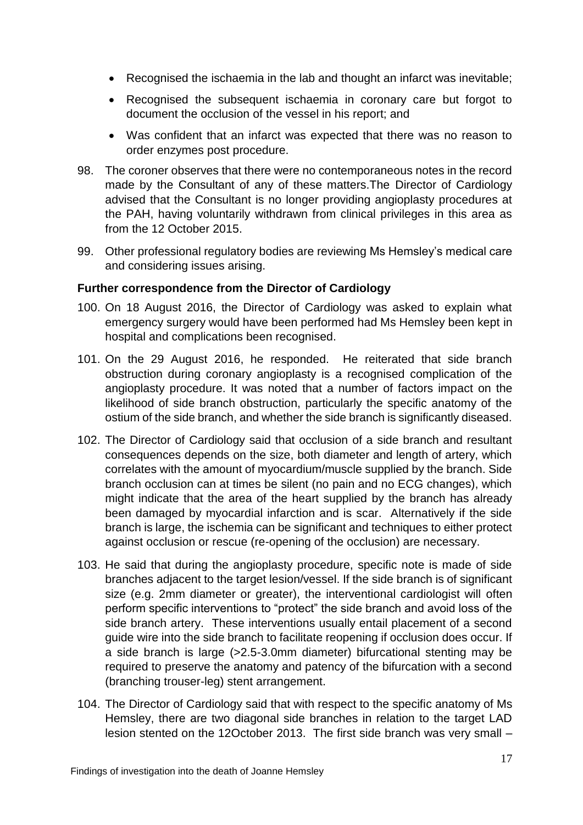- Recognised the ischaemia in the lab and thought an infarct was inevitable;
- Recognised the subsequent ischaemia in coronary care but forgot to document the occlusion of the vessel in his report; and
- Was confident that an infarct was expected that there was no reason to order enzymes post procedure.
- 98. The coroner observes that there were no contemporaneous notes in the record made by the Consultant of any of these matters.The Director of Cardiology advised that the Consultant is no longer providing angioplasty procedures at the PAH, having voluntarily withdrawn from clinical privileges in this area as from the 12 October 2015.
- 99. Other professional regulatory bodies are reviewing Ms Hemsley's medical care and considering issues arising.

## **Further correspondence from the Director of Cardiology**

- 100. On 18 August 2016, the Director of Cardiology was asked to explain what emergency surgery would have been performed had Ms Hemsley been kept in hospital and complications been recognised.
- 101. On the 29 August 2016, he responded. He reiterated that side branch obstruction during coronary angioplasty is a recognised complication of the angioplasty procedure. It was noted that a number of factors impact on the likelihood of side branch obstruction, particularly the specific anatomy of the ostium of the side branch, and whether the side branch is significantly diseased.
- 102. The Director of Cardiology said that occlusion of a side branch and resultant consequences depends on the size, both diameter and length of artery, which correlates with the amount of myocardium/muscle supplied by the branch. Side branch occlusion can at times be silent (no pain and no ECG changes), which might indicate that the area of the heart supplied by the branch has already been damaged by myocardial infarction and is scar. Alternatively if the side branch is large, the ischemia can be significant and techniques to either protect against occlusion or rescue (re-opening of the occlusion) are necessary.
- 103. He said that during the angioplasty procedure, specific note is made of side branches adjacent to the target lesion/vessel. If the side branch is of significant size (e.g. 2mm diameter or greater), the interventional cardiologist will often perform specific interventions to "protect" the side branch and avoid loss of the side branch artery. These interventions usually entail placement of a second guide wire into the side branch to facilitate reopening if occlusion does occur. If a side branch is large (>2.5-3.0mm diameter) bifurcational stenting may be required to preserve the anatomy and patency of the bifurcation with a second (branching trouser-leg) stent arrangement.
- 104. The Director of Cardiology said that with respect to the specific anatomy of Ms Hemsley, there are two diagonal side branches in relation to the target LAD lesion stented on the 12October 2013. The first side branch was very small –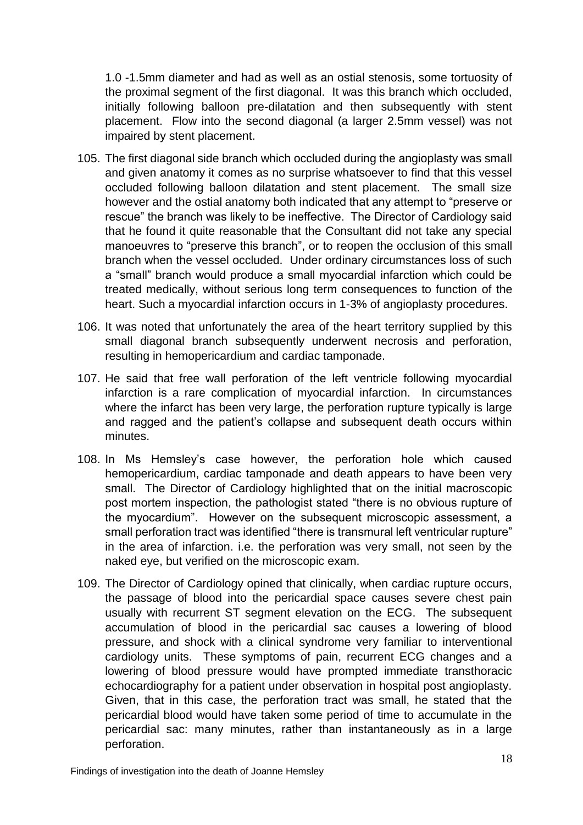1.0 -1.5mm diameter and had as well as an ostial stenosis, some tortuosity of the proximal segment of the first diagonal. It was this branch which occluded, initially following balloon pre-dilatation and then subsequently with stent placement. Flow into the second diagonal (a larger 2.5mm vessel) was not impaired by stent placement.

- 105. The first diagonal side branch which occluded during the angioplasty was small and given anatomy it comes as no surprise whatsoever to find that this vessel occluded following balloon dilatation and stent placement. The small size however and the ostial anatomy both indicated that any attempt to "preserve or rescue" the branch was likely to be ineffective. The Director of Cardiology said that he found it quite reasonable that the Consultant did not take any special manoeuvres to "preserve this branch", or to reopen the occlusion of this small branch when the vessel occluded. Under ordinary circumstances loss of such a "small" branch would produce a small myocardial infarction which could be treated medically, without serious long term consequences to function of the heart. Such a myocardial infarction occurs in 1-3% of angioplasty procedures.
- 106. It was noted that unfortunately the area of the heart territory supplied by this small diagonal branch subsequently underwent necrosis and perforation, resulting in hemopericardium and cardiac tamponade.
- 107. He said that free wall perforation of the left ventricle following myocardial infarction is a rare complication of myocardial infarction. In circumstances where the infarct has been very large, the perforation rupture typically is large and ragged and the patient's collapse and subsequent death occurs within minutes.
- 108. In Ms Hemsley's case however, the perforation hole which caused hemopericardium, cardiac tamponade and death appears to have been very small. The Director of Cardiology highlighted that on the initial macroscopic post mortem inspection, the pathologist stated "there is no obvious rupture of the myocardium". However on the subsequent microscopic assessment, a small perforation tract was identified "there is transmural left ventricular rupture" in the area of infarction. i.e. the perforation was very small, not seen by the naked eye, but verified on the microscopic exam.
- 109. The Director of Cardiology opined that clinically, when cardiac rupture occurs, the passage of blood into the pericardial space causes severe chest pain usually with recurrent ST segment elevation on the ECG. The subsequent accumulation of blood in the pericardial sac causes a lowering of blood pressure, and shock with a clinical syndrome very familiar to interventional cardiology units. These symptoms of pain, recurrent ECG changes and a lowering of blood pressure would have prompted immediate transthoracic echocardiography for a patient under observation in hospital post angioplasty. Given, that in this case, the perforation tract was small, he stated that the pericardial blood would have taken some period of time to accumulate in the pericardial sac: many minutes, rather than instantaneously as in a large perforation.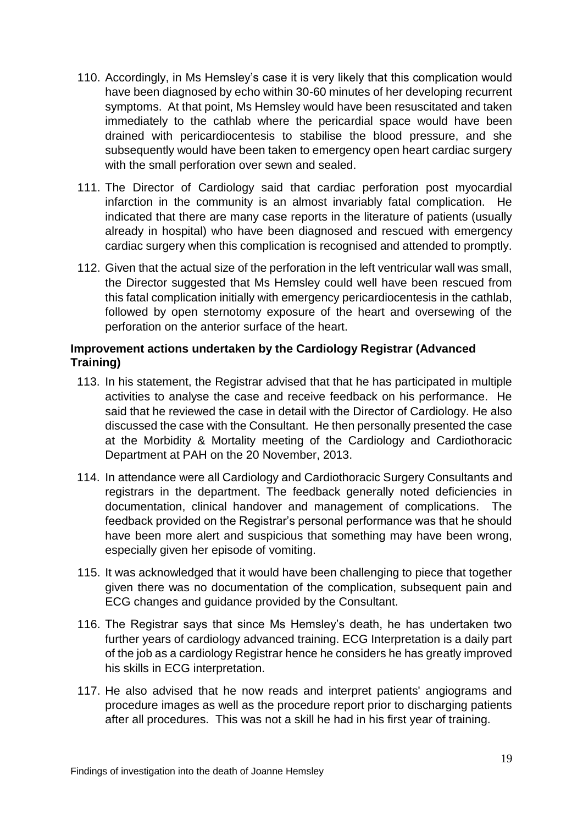- 110. Accordingly, in Ms Hemsley's case it is very likely that this complication would have been diagnosed by echo within 30-60 minutes of her developing recurrent symptoms. At that point, Ms Hemsley would have been resuscitated and taken immediately to the cathlab where the pericardial space would have been drained with pericardiocentesis to stabilise the blood pressure, and she subsequently would have been taken to emergency open heart cardiac surgery with the small perforation over sewn and sealed.
- 111. The Director of Cardiology said that cardiac perforation post myocardial infarction in the community is an almost invariably fatal complication. He indicated that there are many case reports in the literature of patients (usually already in hospital) who have been diagnosed and rescued with emergency cardiac surgery when this complication is recognised and attended to promptly.
- 112. Given that the actual size of the perforation in the left ventricular wall was small, the Director suggested that Ms Hemsley could well have been rescued from this fatal complication initially with emergency pericardiocentesis in the cathlab, followed by open sternotomy exposure of the heart and oversewing of the perforation on the anterior surface of the heart.

### **Improvement actions undertaken by the Cardiology Registrar (Advanced Training)**

- 113. In his statement, the Registrar advised that that he has participated in multiple activities to analyse the case and receive feedback on his performance. He said that he reviewed the case in detail with the Director of Cardiology. He also discussed the case with the Consultant. He then personally presented the case at the Morbidity & Mortality meeting of the Cardiology and Cardiothoracic Department at PAH on the 20 November, 2013.
- 114. In attendance were all Cardiology and Cardiothoracic Surgery Consultants and registrars in the department. The feedback generally noted deficiencies in documentation, clinical handover and management of complications. The feedback provided on the Registrar's personal performance was that he should have been more alert and suspicious that something may have been wrong, especially given her episode of vomiting.
- 115. It was acknowledged that it would have been challenging to piece that together given there was no documentation of the complication, subsequent pain and ECG changes and guidance provided by the Consultant.
- 116. The Registrar says that since Ms Hemsley's death, he has undertaken two further years of cardiology advanced training. ECG Interpretation is a daily part of the job as a cardiology Registrar hence he considers he has greatly improved his skills in ECG interpretation.
- 117. He also advised that he now reads and interpret patients' angiograms and procedure images as well as the procedure report prior to discharging patients after all procedures. This was not a skill he had in his first year of training.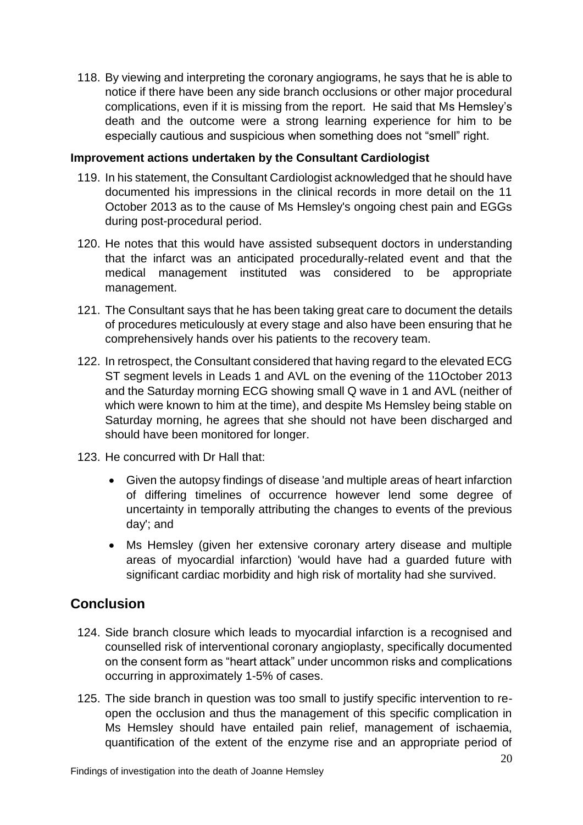118. By viewing and interpreting the coronary angiograms, he says that he is able to notice if there have been any side branch occlusions or other major procedural complications, even if it is missing from the report. He said that Ms Hemsley's death and the outcome were a strong learning experience for him to be especially cautious and suspicious when something does not "smell" right.

#### **Improvement actions undertaken by the Consultant Cardiologist**

- 119. In his statement, the Consultant Cardiologist acknowledged that he should have documented his impressions in the clinical records in more detail on the 11 October 2013 as to the cause of Ms Hemsley's ongoing chest pain and EGGs during post-procedural period.
- 120. He notes that this would have assisted subsequent doctors in understanding that the infarct was an anticipated procedurally-related event and that the medical management instituted was considered to be appropriate management.
- 121. The Consultant says that he has been taking great care to document the details of procedures meticulously at every stage and also have been ensuring that he comprehensively hands over his patients to the recovery team.
- 122. In retrospect, the Consultant considered that having regard to the elevated ECG ST segment levels in Leads 1 and AVL on the evening of the 11October 2013 and the Saturday morning ECG showing small Q wave in 1 and AVL (neither of which were known to him at the time), and despite Ms Hemsley being stable on Saturday morning, he agrees that she should not have been discharged and should have been monitored for longer.
- 123. He concurred with Dr Hall that:
	- Given the autopsy findings of disease 'and multiple areas of heart infarction of differing timelines of occurrence however lend some degree of uncertainty in temporally attributing the changes to events of the previous day'; and
	- Ms Hemsley (given her extensive coronary artery disease and multiple areas of myocardial infarction) 'would have had a guarded future with significant cardiac morbidity and high risk of mortality had she survived.

## **Conclusion**

- 124. Side branch closure which leads to myocardial infarction is a recognised and counselled risk of interventional coronary angioplasty, specifically documented on the consent form as "heart attack" under uncommon risks and complications occurring in approximately 1-5% of cases.
- 125. The side branch in question was too small to justify specific intervention to reopen the occlusion and thus the management of this specific complication in Ms Hemsley should have entailed pain relief, management of ischaemia, quantification of the extent of the enzyme rise and an appropriate period of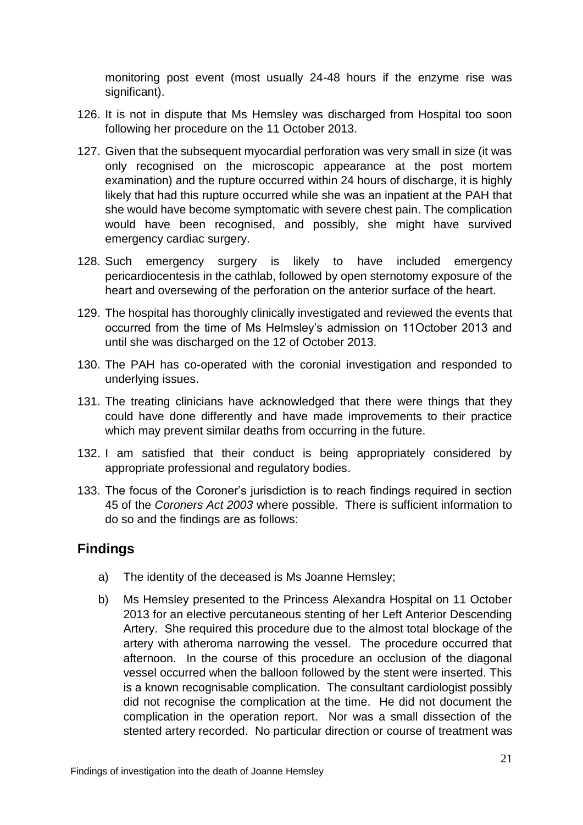monitoring post event (most usually 24-48 hours if the enzyme rise was significant).

- 126. It is not in dispute that Ms Hemsley was discharged from Hospital too soon following her procedure on the 11 October 2013.
- 127. Given that the subsequent myocardial perforation was very small in size (it was only recognised on the microscopic appearance at the post mortem examination) and the rupture occurred within 24 hours of discharge, it is highly likely that had this rupture occurred while she was an inpatient at the PAH that she would have become symptomatic with severe chest pain. The complication would have been recognised, and possibly, she might have survived emergency cardiac surgery.
- 128. Such emergency surgery is likely to have included emergency pericardiocentesis in the cathlab, followed by open sternotomy exposure of the heart and oversewing of the perforation on the anterior surface of the heart.
- 129. The hospital has thoroughly clinically investigated and reviewed the events that occurred from the time of Ms Helmsley's admission on 11October 2013 and until she was discharged on the 12 of October 2013.
- 130. The PAH has co-operated with the coronial investigation and responded to underlying issues.
- 131. The treating clinicians have acknowledged that there were things that they could have done differently and have made improvements to their practice which may prevent similar deaths from occurring in the future.
- 132. I am satisfied that their conduct is being appropriately considered by appropriate professional and regulatory bodies.
- 133. The focus of the Coroner's jurisdiction is to reach findings required in section 45 of the *Coroners Act 2003* where possible. There is sufficient information to do so and the findings are as follows:

## **Findings**

- a) The identity of the deceased is Ms Joanne Hemsley;
- b) Ms Hemsley presented to the Princess Alexandra Hospital on 11 October 2013 for an elective percutaneous stenting of her Left Anterior Descending Artery. She required this procedure due to the almost total blockage of the artery with atheroma narrowing the vessel. The procedure occurred that afternoon. In the course of this procedure an occlusion of the diagonal vessel occurred when the balloon followed by the stent were inserted. This is a known recognisable complication. The consultant cardiologist possibly did not recognise the complication at the time. He did not document the complication in the operation report. Nor was a small dissection of the stented artery recorded. No particular direction or course of treatment was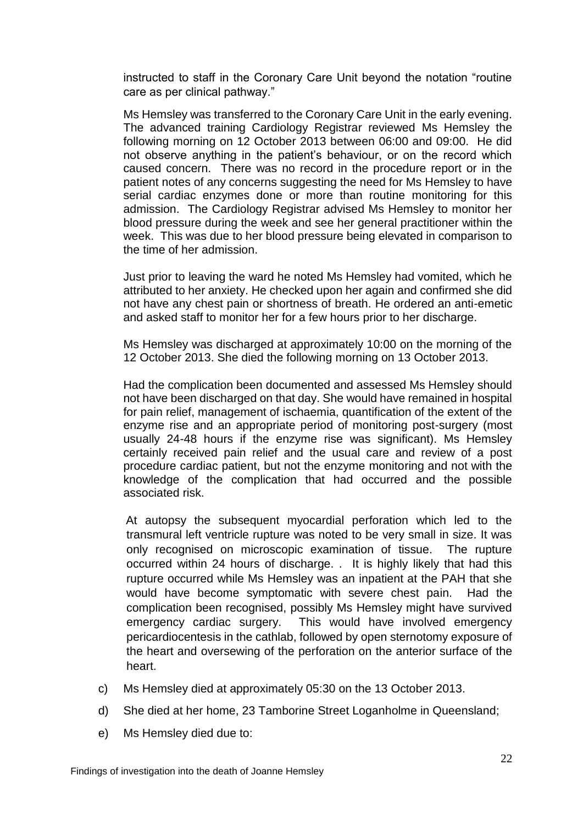instructed to staff in the Coronary Care Unit beyond the notation "routine care as per clinical pathway."

Ms Hemsley was transferred to the Coronary Care Unit in the early evening. The advanced training Cardiology Registrar reviewed Ms Hemsley the following morning on 12 October 2013 between 06:00 and 09:00. He did not observe anything in the patient's behaviour, or on the record which caused concern. There was no record in the procedure report or in the patient notes of any concerns suggesting the need for Ms Hemsley to have serial cardiac enzymes done or more than routine monitoring for this admission. The Cardiology Registrar advised Ms Hemsley to monitor her blood pressure during the week and see her general practitioner within the week. This was due to her blood pressure being elevated in comparison to the time of her admission.

Just prior to leaving the ward he noted Ms Hemsley had vomited, which he attributed to her anxiety. He checked upon her again and confirmed she did not have any chest pain or shortness of breath. He ordered an anti-emetic and asked staff to monitor her for a few hours prior to her discharge.

Ms Hemsley was discharged at approximately 10:00 on the morning of the 12 October 2013. She died the following morning on 13 October 2013.

Had the complication been documented and assessed Ms Hemsley should not have been discharged on that day. She would have remained in hospital for pain relief, management of ischaemia, quantification of the extent of the enzyme rise and an appropriate period of monitoring post-surgery (most usually 24-48 hours if the enzyme rise was significant). Ms Hemsley certainly received pain relief and the usual care and review of a post procedure cardiac patient, but not the enzyme monitoring and not with the knowledge of the complication that had occurred and the possible associated risk.

At autopsy the subsequent myocardial perforation which led to the transmural left ventricle rupture was noted to be very small in size. It was only recognised on microscopic examination of tissue. The rupture occurred within 24 hours of discharge. . It is highly likely that had this rupture occurred while Ms Hemsley was an inpatient at the PAH that she would have become symptomatic with severe chest pain. Had the complication been recognised, possibly Ms Hemsley might have survived emergency cardiac surgery. This would have involved emergency pericardiocentesis in the cathlab, followed by open sternotomy exposure of the heart and oversewing of the perforation on the anterior surface of the heart.

- c) Ms Hemsley died at approximately 05:30 on the 13 October 2013.
- d) She died at her home, 23 Tamborine Street Loganholme in Queensland;
- e) Ms Hemsley died due to: